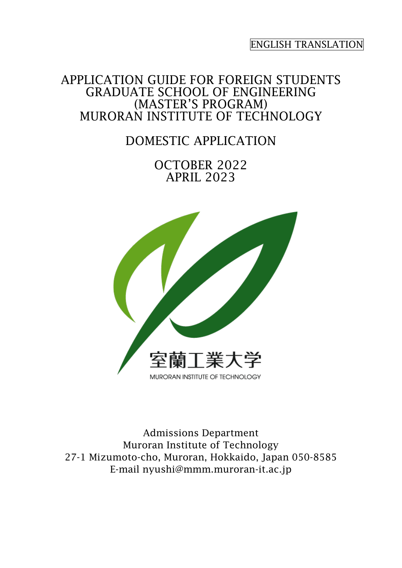ENGLISH TRANSLATION

# APPLICATION GUIDE FOR FOREIGN STUDENTS GRADUATE SCHOOL OF ENGINEERING (MASTER'S PROGRAM) MURORAN INSTITUTE OF TECHNOLOGY

# DOMESTIC APPLICATION

OCTOBER 2022 APRIL 2023



Admissions Department Muroran Institute of Technology 27-1 Mizumoto-cho, Muroran, Hokkaido, Japan 050-8585 E-mail nyushi@mmm.muroran-it.ac.jp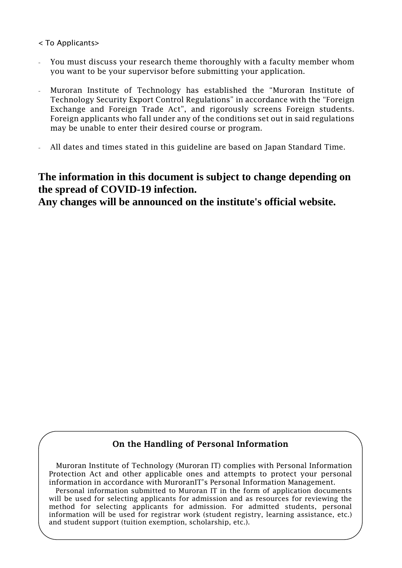#### < To Applicants>

- You must discuss your research theme thoroughly with a faculty member whom you want to be your supervisor before submitting your application.
- Muroran Institute of Technology has established the "Muroran Institute of Technology Security Export Control Regulations" in accordance with the "Foreign Exchange and Foreign Trade Act", and rigorously screens Foreign students. Foreign applicants who fall under any of the conditions set out in said regulations may be unable to enter their desired course or program.
- All dates and times stated in this guideline are based on Japan Standard Time.

# **The information in this document is subject to change depending on the spread of COVID-19 infection.**

**Any changes will be announced on the institute's official website.**

## On the Handling of Personal Information

Muroran Institute of Technology (Muroran IT) complies with Personal Information Protection Act and other applicable ones and attempts to protect your personal information in accordance with MuroranIT's Personal Information Management. Personal information submitted to Muroran IT in the form of application documents

will be used for selecting applicants for admission and as resources for reviewing the method for selecting applicants for admission. For admitted students, personal information will be used for registrar work (student registry, learning assistance, etc.) and student support (tuition exemption, scholarship, etc.).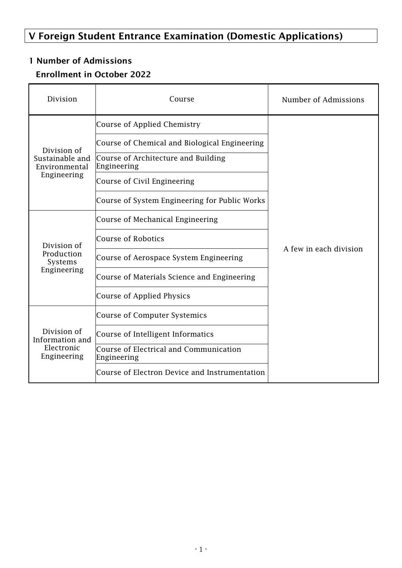# V Foreign Student Entrance Examination (Domestic Applications)

# 1 Number of Admissions

# Enrollment in October 2022

| Division                                                    | Course                                                | Number of Admissions   |  |
|-------------------------------------------------------------|-------------------------------------------------------|------------------------|--|
|                                                             | Course of Applied Chemistry                           |                        |  |
| Division of                                                 | Course of Chemical and Biological Engineering         |                        |  |
| Sustainable and<br>Environmental                            | Course of Architecture and Building<br>Engineering    |                        |  |
| Engineering                                                 | Course of Civil Engineering                           |                        |  |
|                                                             | Course of System Engineering for Public Works         |                        |  |
|                                                             | Course of Mechanical Engineering                      |                        |  |
| Division of                                                 | <b>Course of Robotics</b>                             |                        |  |
| Production<br>Systems                                       | Course of Aerospace System Engineering                | A few in each division |  |
| Engineering                                                 | Course of Materials Science and Engineering           |                        |  |
|                                                             | Course of Applied Physics                             |                        |  |
|                                                             | <b>Course of Computer Systemics</b>                   |                        |  |
| Division of<br>Information and<br>Electronic<br>Engineering | Course of Intelligent Informatics                     |                        |  |
|                                                             | Course of Electrical and Communication<br>Engineering |                        |  |
|                                                             | Course of Electron Device and Instrumentation         |                        |  |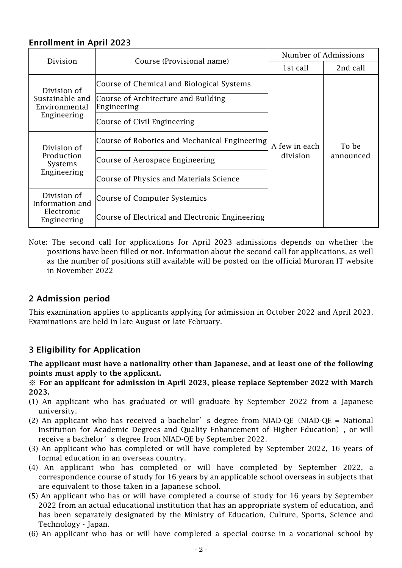# Enrollment in April 2023

| Division                                                    | Course (Provisional name)                          | Number of Admissions |           |
|-------------------------------------------------------------|----------------------------------------------------|----------------------|-----------|
|                                                             |                                                    | 1st call             | 2nd call  |
| Division of                                                 | Course of Chemical and Biological Systems          |                      | To be     |
| Sustainable and<br>Environmental                            | Course of Architecture and Building<br>Engineering |                      |           |
| Engineering                                                 | Course of Civil Engineering                        |                      |           |
| Division of                                                 | Course of Robotics and Mechanical Engineering      | A few in each        |           |
| Production<br>Systems<br>Engineering                        | Course of Aerospace Engineering                    | division             | announced |
|                                                             | Course of Physics and Materials Science            |                      |           |
| Division of<br>Information and<br>Electronic<br>Engineering | Course of Computer Systemics                       |                      |           |
|                                                             | Course of Electrical and Electronic Engineering    |                      |           |

Note: The second call for applications for April 2023 admissions depends on whether the positions have been filled or not. Information about the second call for applications, as well as the number of positions still available will be posted on the official Muroran IT website in November 2022

# 2 Admission period

This examination applies to applicants applying for admission in October 2022 and April 2023. Examinations are held in late August or late February.

# 3 Eligibility for Application

The applicant must have a nationality other than Japanese, and at least one of the following points must apply to the applicant.

※ For an applicant for admission in April 2023, please replace September 2022 with March 2023.

- (1) An applicant who has graduated or will graduate by September 2022 from a Japanese university.
- (2) An applicant who has received a bachelor's degree from NIAD-QE (NIAD-QE = National Institution for Academic Degrees and Quality Enhancement of Higher Education), or will receive a bachelor's degree from NIAD-QE by September 2022.
- (3) An applicant who has completed or will have completed by September 2022, 16 years of formal education in an overseas country.
- (4) An applicant who has completed or will have completed by September 2022, a correspondence course of study for 16 years by an applicable school overseas in subjects that are equivalent to those taken in a Japanese school.
- (5) An applicant who has or will have completed a course of study for 16 years by September 2022 from an actual educational institution that has an appropriate system of education, and has been separately designated by the Ministry of Education, Culture, Sports, Science and Technology - Japan.
- (6) An applicant who has or will have completed a special course in a vocational school by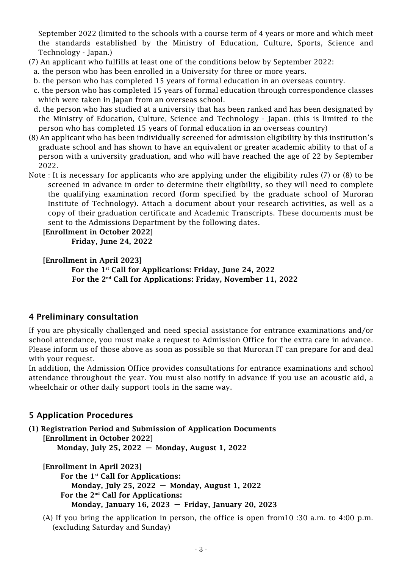September 2022 (limited to the schools with a course term of 4 years or more and which meet the standards established by the Ministry of Education, Culture, Sports, Science and Technology - Japan.)

- (7) An applicant who fulfills at least one of the conditions below by September 2022:
	- a. the person who has been enrolled in a University for three or more years.
	- b. the person who has completed 15 years of formal education in an overseas country.
	- c. the person who has completed 15 years of formal education through correspondence classes which were taken in Japan from an overseas school.
- d. the person who has studied at a university that has been ranked and has been designated by the Ministry of Education, Culture, Science and Technology - Japan. (this is limited to the person who has completed 15 years of formal education in an overseas country)
- (8) An applicant who has been individually screened for admission eligibility by this institution's graduate school and has shown to have an equivalent or greater academic ability to that of a person with a university graduation, and who will have reached the age of 22 by September 2022.
- Note:It is necessary for applicants who are applying under the eligibility rules (7) or (8) to be screened in advance in order to determine their eligibility, so they will need to complete the qualifying examination record (form specified by the graduate school of Muroran Institute of Technology). Attach a document about your research activities, as well as a copy of their graduation certificate and Academic Transcripts. These documents must be sent to the Admissions Department by the following dates.

[Enrollment in October 2022] Friday, June 24, 2022

[Enrollment in April 2023]

For the 1<sup>st</sup> Call for Applications: Friday, June 24, 2022 For the 2nd Call for Applications: Friday, November 11, 2022

## 4 Preliminary consultation

If you are physically challenged and need special assistance for entrance examinations and/or school attendance, you must make a request to Admission Office for the extra care in advance. Please inform us of those above as soon as possible so that Muroran IT can prepare for and deal with your request.

In addition, the Admission Office provides consultations for entrance examinations and school attendance throughout the year. You must also notify in advance if you use an acoustic aid, a wheelchair or other daily support tools in the same way.

## 5 Application Procedures

```
(1) Registration Period and Submission of Application Documents
[Enrollment in October 2022]
    Monday, July 25, 2022 - Monday, August 1, 2022
```
[Enrollment in April 2023] For the 1<sup>st</sup> Call for Applications: Monday, July 25, 2022  $-$  Monday, August 1, 2022 For the 2<sup>nd</sup> Call for Applications: Monday, January 16, 2023  $-$  Friday, January 20, 2023

(A) If you bring the application in person, the office is open from10 :30 a.m. to 4:00 p.m. (excluding Saturday and Sunday)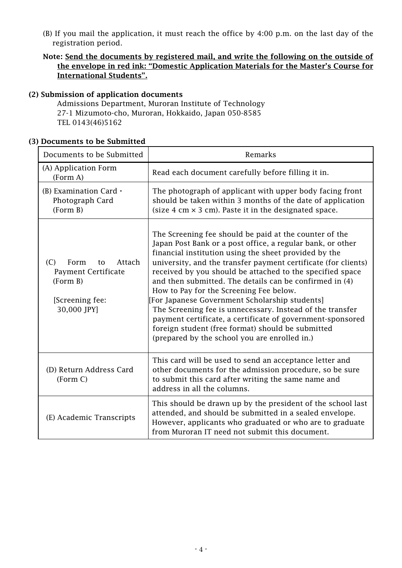(B) If you mail the application, it must reach the office by 4:00 p.m. on the last day of the registration period.

### Note: Send the documents by registered mail, and write the following on the outside of the envelope in red ink: "Domestic Application Materials for the Master's Course for International Students".

#### (2) Submission of application documents

Admissions Department, Muroran Institute of Technology 27-1 Mizumoto-cho, Muroran, Hokkaido, Japan 050-8585 TEL 0143(46)5162

#### (3) Documents to be Submitted

| Documents to be Submitted                                                                        | Remarks                                                                                                                                                                                                                                                                                                                                                                                                                                                                                                                                                                                                                                                                                               |
|--------------------------------------------------------------------------------------------------|-------------------------------------------------------------------------------------------------------------------------------------------------------------------------------------------------------------------------------------------------------------------------------------------------------------------------------------------------------------------------------------------------------------------------------------------------------------------------------------------------------------------------------------------------------------------------------------------------------------------------------------------------------------------------------------------------------|
| (A) Application Form<br>(Form A)                                                                 | Read each document carefully before filling it in.                                                                                                                                                                                                                                                                                                                                                                                                                                                                                                                                                                                                                                                    |
| (B) Examination Card $\cdot$<br>Photograph Card<br>(Form B)                                      | The photograph of applicant with upper body facing front<br>should be taken within 3 months of the date of application<br>(size 4 cm $\times$ 3 cm). Paste it in the designated space.                                                                                                                                                                                                                                                                                                                                                                                                                                                                                                                |
| Attach<br>(C)<br>Form<br>to<br>Payment Certificate<br>(Form B)<br>[Screening fee:<br>30,000 JPY] | The Screening fee should be paid at the counter of the<br>Japan Post Bank or a post office, a regular bank, or other<br>financial institution using the sheet provided by the<br>university, and the transfer payment certificate (for clients)<br>received by you should be attached to the specified space<br>and then submitted. The details can be confirmed in (4)<br>How to Pay for the Screening Fee below.<br>[For Japanese Government Scholarship students]<br>The Screening fee is unnecessary. Instead of the transfer<br>payment certificate, a certificate of government-sponsored<br>foreign student (free format) should be submitted<br>(prepared by the school you are enrolled in.) |
| (D) Return Address Card<br>(Form C)                                                              | This card will be used to send an acceptance letter and<br>other documents for the admission procedure, so be sure<br>to submit this card after writing the same name and<br>address in all the columns.                                                                                                                                                                                                                                                                                                                                                                                                                                                                                              |
| (E) Academic Transcripts                                                                         | This should be drawn up by the president of the school last<br>attended, and should be submitted in a sealed envelope.<br>However, applicants who graduated or who are to graduate<br>from Muroran IT need not submit this document.                                                                                                                                                                                                                                                                                                                                                                                                                                                                  |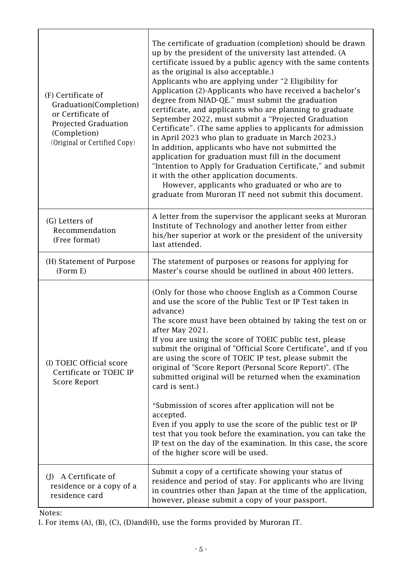| (F) Certificate of<br>Graduation(Completion)<br>or Certificate of<br>Projected Graduation<br>(Completion)<br>(Original or Certified Copy) | The certificate of graduation (completion) should be drawn<br>up by the president of the university last attended. (A<br>certificate issued by a public agency with the same contents<br>as the original is also acceptable.)<br>Applicants who are applying under "2 Eligibility for<br>Application (2)-Applicants who have received a bachelor's<br>degree from NIAD-QE." must submit the graduation<br>certificate, and applicants who are planning to graduate<br>September 2022, must submit a "Projected Graduation<br>Certificate". (The same applies to applicants for admission<br>in April 2023 who plan to graduate in March 2023.)<br>In addition, applicants who have not submitted the<br>application for graduation must fill in the document<br>"Intention to Apply for Graduation Certificate," and submit<br>it with the other application documents.<br>However, applicants who graduated or who are to<br>graduate from Muroran IT need not submit this document. |
|-------------------------------------------------------------------------------------------------------------------------------------------|---------------------------------------------------------------------------------------------------------------------------------------------------------------------------------------------------------------------------------------------------------------------------------------------------------------------------------------------------------------------------------------------------------------------------------------------------------------------------------------------------------------------------------------------------------------------------------------------------------------------------------------------------------------------------------------------------------------------------------------------------------------------------------------------------------------------------------------------------------------------------------------------------------------------------------------------------------------------------------------|
| (G) Letters of<br>Recommendation<br>(Free format)                                                                                         | A letter from the supervisor the applicant seeks at Muroran<br>Institute of Technology and another letter from either<br>his/her superior at work or the president of the university<br>last attended.                                                                                                                                                                                                                                                                                                                                                                                                                                                                                                                                                                                                                                                                                                                                                                                |
| (H) Statement of Purpose<br>(Form E)                                                                                                      | The statement of purposes or reasons for applying for<br>Master's course should be outlined in about 400 letters.                                                                                                                                                                                                                                                                                                                                                                                                                                                                                                                                                                                                                                                                                                                                                                                                                                                                     |
| (I) TOEIC Official score<br>Certificate or TOEIC IP<br>Score Report                                                                       | (Only for those who choose English as a Common Course<br>and use the score of the Public Test or IP Test taken in<br>advance)<br>The score must have been obtained by taking the test on or<br>after May 2021.<br>If you are using the score of TOEIC public test, please<br>submit the original of "Official Score Certificate", and if you<br>are using the score of TOEIC IP test, please submit the<br>original of "Score Report (Personal Score Report)". (The<br>submitted original will be returned when the examination<br>card is sent.)<br>*Submission of scores after application will not be<br>accepted.<br>Even if you apply to use the score of the public test or IP<br>test that you took before the examination, you can take the<br>IP test on the day of the examination. In this case, the score<br>of the higher score will be used.                                                                                                                            |
| (J) A Certificate of<br>residence or a copy of a<br>residence card                                                                        | Submit a copy of a certificate showing your status of<br>residence and period of stay. For applicants who are living<br>in countries other than Japan at the time of the application,<br>however, please submit a copy of your passport.                                                                                                                                                                                                                                                                                                                                                                                                                                                                                                                                                                                                                                                                                                                                              |

٦

Notes:

I. For items (A), (B), (C), (D)and(H), use the forms provided by Muroran IT.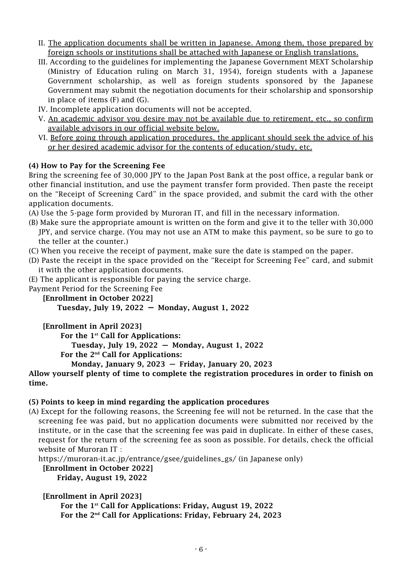- II. The application documents shall be written in Japanese. Among them, those prepared by foreign schools or institutions shall be attached with Japanese or English translations.
- III. According to the guidelines for implementing the Japanese Government MEXT Scholarship (Ministry of Education ruling on March 31, 1954), foreign students with a Japanese Government scholarship, as well as foreign students sponsored by the Japanese Government may submit the negotiation documents for their scholarship and sponsorship in place of items (F) and (G).
- IV. Incomplete application documents will not be accepted.
- V. An academic advisor you desire may not be available due to retirement, etc., so confirm available advisors in our official website below.
- VI. Before going through application procedures, the applicant should seek the advice of his or her desired academic advisor for the contents of education/study, etc.

#### (4) How to Pay for the Screening Fee

Bring the screening fee of 30,000 JPY to the Japan Post Bank at the post office, a regular bank or other financial institution, and use the payment transfer form provided. Then paste the receipt on the "Receipt of Screening Card" in the space provided, and submit the card with the other application documents.

- (A) Use the 5-page form provided by Muroran IT, and fill in the necessary information.
- (B) Make sure the appropriate amount is written on the form and give it to the teller with 30,000 JPY, and service charge. (You may not use an ATM to make this payment, so be sure to go to the teller at the counter.)
- (C) When you receive the receipt of payment, make sure the date is stamped on the paper.
- (D) Paste the receipt in the space provided on the "Receipt for Screening Fee" card, and submit it with the other application documents.
- (E) The applicant is responsible for paying the service charge.
- Payment Period for the Screening Fee

[Enrollment in October 2022] Tuesday, July 19, 2022  $-$  Monday, August 1, 2022

[Enrollment in April 2023]

For the 1<sup>st</sup> Call for Applications:

Tuesday, July 19, 2022  $-$  Monday, August 1, 2022

For the 2<sup>nd</sup> Call for Applications:

Monday, January 9, 2023  $-$  Friday, January 20, 2023

Allow yourself plenty of time to complete the registration procedures in order to finish on time.

#### (5) Points to keep in mind regarding the application procedures

(A) Except for the following reasons, the Screening fee will not be returned. In the case that the screening fee was paid, but no application documents were submitted nor received by the institute, or in the case that the screening fee was paid in duplicate. In either of these cases, request for the return of the screening fee as soon as possible. For details, check the official website of Muroran IT:

https://muroran-it.ac.jp/entrance/gsee/guidelines\_gs/ (in Japanese only)

#### [Enrollment in October 2022]

Friday, August 19, 2022

#### [Enrollment in April 2023]

For the 1st Call for Applications: Friday, August 19, 2022 For the 2nd Call for Applications: Friday, February 24, 2023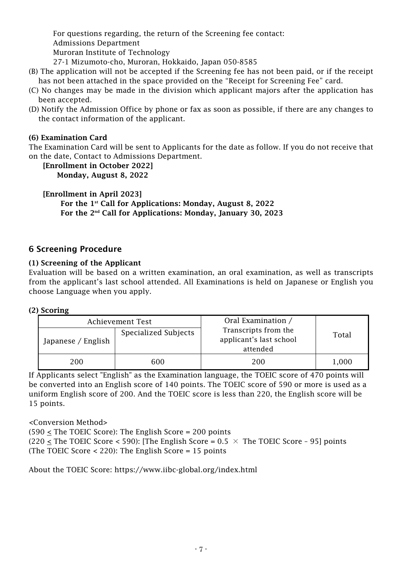For questions regarding, the return of the Screening fee contact: Admissions Department Muroran Institute of Technology

27-1 Mizumoto-cho, Muroran, Hokkaido, Japan 050-8585

- (B) The application will not be accepted if the Screening fee has not been paid, or if the receipt has not been attached in the space provided on the "Receipt for Screening Fee" card.
- (C) No changes may be made in the division which applicant majors after the application has been accepted.
- (D) Notify the Admission Office by phone or fax as soon as possible, if there are any changes to the contact information of the applicant.

#### (6) Examination Card

The Examination Card will be sent to Applicants for the date as follow. If you do not receive that on the date, Contact to Admissions Department.

[Enrollment in October 2022] Monday, August 8, 2022

[Enrollment in April 2023]

For the 1st Call for Applications: Monday, August 8, 2022 For the 2nd Call for Applications: Monday, January 30, 2023

### 6 Screening Procedure

#### (1) Screening of the Applicant

Evaluation will be based on a written examination, an oral examination, as well as transcripts from the applicant's last school attended. All Examinations is held on Japanese or English you choose Language when you apply.

#### (2) Scoring

| Achievement Test   |                      | Oral Examination /                                          |       |
|--------------------|----------------------|-------------------------------------------------------------|-------|
| Japanese / English | Specialized Subjects | Transcripts from the<br>applicant's last school<br>attended | Total |
| 200                | 600                  | 200                                                         | 1,000 |

If Applicants select "English" as the Examination language, the TOEIC score of 470 points will be converted into an English score of 140 points. The TOEIC score of 590 or more is used as a uniform English score of 200. And the TOEIC score is less than 220, the English score will be 15 points.

<Conversion Method>

(590 < The TOEIC Score): The English Score = 200 points (220  $\le$  The TOEIC Score < 590): [The English Score = 0.5  $\times$  The TOEIC Score - 95] points (The TOEIC Score < 220): The English Score = 15 points

About the TOEIC Score: https://www.iibc-global.org/index.html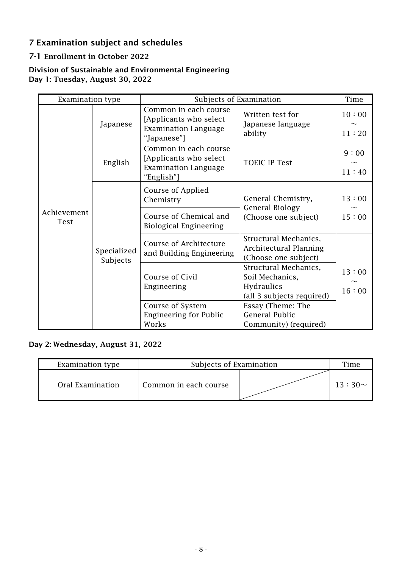# 7 Examination subject and schedules

## 7-1 Enrollment in October 2022

#### Division of Sustainable and Environmental Engineering Day 1: Tuesday, August 30, 2022

| <b>Examination type</b> |                         | Subjects of Examination                                                                       |                                                                                                                 | Time           |
|-------------------------|-------------------------|-----------------------------------------------------------------------------------------------|-----------------------------------------------------------------------------------------------------------------|----------------|
| Achievement<br>Test     | Japanese                | Common in each course<br>[Applicants who select<br><b>Examination Language</b><br>"Japanese"] | Written test for<br>Japanese language<br>ability                                                                | 10:00<br>11:20 |
|                         | English                 | Common in each course<br>[Applicants who select]<br><b>Examination Language</b><br>"English"] | <b>TOEIC IP Test</b>                                                                                            | 9:00<br>11:40  |
|                         | Specialized<br>Subjects | Course of Applied<br>Chemistry                                                                | General Chemistry,<br>General Biology                                                                           | 13:00          |
|                         |                         | Course of Chemical and<br><b>Biological Engineering</b>                                       | (Choose one subject)                                                                                            | 15:00          |
|                         |                         | Course of Architecture<br>and Building Engineering                                            | Structural Mechanics,<br>Architectural Planning<br>(Choose one subject)                                         |                |
|                         |                         | Course of Civil<br>Engineering<br>Course of System                                            | Structural Mechanics,<br>Soil Mechanics,<br><b>Hydraulics</b><br>(all 3 subjects required)<br>Essay (Theme: The | 13:00<br>16:00 |
|                         |                         | <b>Engineering for Public</b><br>Works                                                        | <b>General Public</b><br>Community) (required)                                                                  |                |

# Day 2: Wednesday, August 31, 2022

| Examination type | Subjects of Examination |  | Time        |
|------------------|-------------------------|--|-------------|
| Oral Examination | Common in each course   |  | $13:30\sim$ |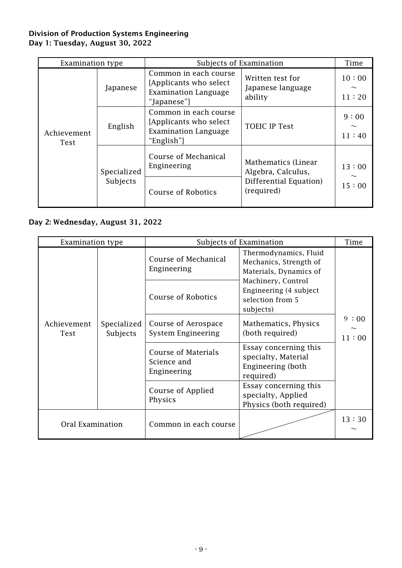### Division of Production Systems Engineering Day 1: Tuesday, August 30, 2022

| <b>Examination type</b>    |             | Subjects of Examination                                                                        |                                                  | Time                                       |
|----------------------------|-------------|------------------------------------------------------------------------------------------------|--------------------------------------------------|--------------------------------------------|
|                            | Japanese    | Common in each course<br>[Applicants who select]<br><b>Examination Language</b><br>"Japanese"] | Written test for<br>Japanese language<br>ability | 10:00<br>$\sim$<br>11:20                   |
| Achievement<br><b>Test</b> | English     | Common in each course<br>[Applicants who select]<br><b>Examination Language</b><br>"English"]  | <b>TOEIC IP Test</b>                             | 9:00<br>$\widetilde{\phantom{m}}$<br>11:40 |
|                            | Specialized | Course of Mechanical<br>Engineering                                                            | Mathematics (Linear<br>Algebra, Calculus,        | 13:00<br>$\sim$                            |
|                            | Subjects    | Course of Robotics                                                                             | Differential Equation)<br>(required)             | 15:00                                      |

# Day 2: Wednesday, August 31, 2022

| Examination type    |                         | Subjects of Examination                                  |                                                                                                                                                                                                       | Time          |
|---------------------|-------------------------|----------------------------------------------------------|-------------------------------------------------------------------------------------------------------------------------------------------------------------------------------------------------------|---------------|
| Achievement<br>Test | Specialized<br>Subjects | Course of Mechanical<br>Engineering                      | Thermodynamics, Fluid<br>Mechanics, Strength of<br>Materials, Dynamics of<br>Machinery, Control<br>Engineering (4 subject<br>selection from 5<br>subjects)<br>Mathematics, Physics<br>(both required) | 9:00<br>11:00 |
|                     |                         | Course of Robotics                                       |                                                                                                                                                                                                       |               |
|                     |                         | Course of Aerospace<br>System Engineering                |                                                                                                                                                                                                       |               |
|                     |                         | <b>Course of Materials</b><br>Science and<br>Engineering | Essay concerning this<br>specialty, Material<br>Engineering (both<br>required)                                                                                                                        |               |
|                     |                         | Course of Applied<br>Physics                             | Essay concerning this<br>specialty, Applied<br>Physics (both required)                                                                                                                                |               |
| Oral Examination    |                         | Common in each course                                    |                                                                                                                                                                                                       | 13:30         |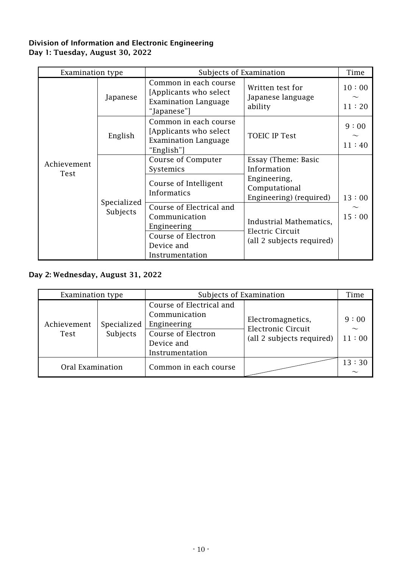## Division of Information and Electronic Engineering Day 1: Tuesday, August 30, 2022

| <b>Examination type</b>    |                         | Subjects of Examination                                                                                         |                                                                                                | Time           |
|----------------------------|-------------------------|-----------------------------------------------------------------------------------------------------------------|------------------------------------------------------------------------------------------------|----------------|
|                            | Japanese                | Common in each course<br>[Applicants who select]<br><b>Examination Language</b><br>"Japanese"]                  | Written test for<br>Japanese language<br>ability                                               | 10:00<br>11:20 |
|                            | English                 | Common in each course<br>[Applicants who select]<br><b>Examination Language</b><br>"English"]                   | <b>TOEIC IP Test</b>                                                                           | 9:00<br>11:40  |
| Achievement<br><b>Test</b> |                         | Course of Computer<br>Systemics<br>Course of Intelligent<br>Informatics                                         | Essay (Theme: Basic<br>Information<br>Engineering,<br>Computational<br>Engineering) (required) | 13:00          |
|                            | Specialized<br>Subjects | Course of Electrical and<br>Communication<br>Engineering<br>Course of Electron<br>Device and<br>Instrumentation | Industrial Mathematics,<br><b>Electric Circuit</b><br>(all 2 subjects required)                | 15:00          |

# Day 2: Wednesday, August 31, 2022

| Examination type           |                         | Subjects of Examination                                                                                         |                                                                      | Time                    |
|----------------------------|-------------------------|-----------------------------------------------------------------------------------------------------------------|----------------------------------------------------------------------|-------------------------|
| Achievement<br><b>Test</b> | Specialized<br>Subjects | Course of Electrical and<br>Communication<br>Engineering<br>Course of Electron<br>Device and<br>Instrumentation | Electromagnetics,<br>Electronic Circuit<br>(all 2 subjects required) | 9:00<br>$\sim$<br>11:00 |
| Oral Examination           |                         | Common in each course                                                                                           |                                                                      | 13:30                   |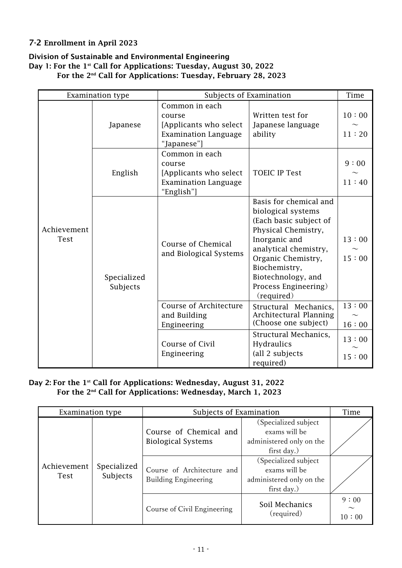# 7-2 Enrollment in April 2023

#### Division of Sustainable and Environmental Engineering Day 1: For the 1<sup>st</sup> Call for Applications: Tuesday, August 30, 2022 For the 2<sup>nd</sup> Call for Applications: Tuesday, February 28, 2023

|                            | Examination type        |                                                                                                  | Subjects of Examination                                                                                                                                                                                                                    | Time           |
|----------------------------|-------------------------|--------------------------------------------------------------------------------------------------|--------------------------------------------------------------------------------------------------------------------------------------------------------------------------------------------------------------------------------------------|----------------|
|                            | Japanese                | Common in each<br>course<br>[Applicants who select<br><b>Examination Language</b><br>"Japanese"] | Written test for<br>Japanese language<br>ability                                                                                                                                                                                           | 10:00<br>11:20 |
| Achievement<br><b>Test</b> | English                 | Common in each<br>course<br>[Applicants who select<br><b>Examination Language</b><br>"English"]  | <b>TOEIC IP Test</b>                                                                                                                                                                                                                       | 9:00<br>11:40  |
|                            | Specialized<br>Subjects | Course of Chemical<br>and Biological Systems                                                     | Basis for chemical and<br>biological systems<br>(Each basic subject of<br>Physical Chemistry,<br>Inorganic and<br>analytical chemistry,<br>Organic Chemistry,<br>Biochemistry,<br>Biotechnology, and<br>Process Engineering)<br>(required) | 13:00<br>15:00 |
|                            |                         | Course of Architecture<br>and Building<br>Engineering                                            | Structural Mechanics,<br>Architectural Planning<br>(Choose one subject)                                                                                                                                                                    | 13:00<br>16:00 |
|                            |                         | Course of Civil<br>Engineering                                                                   | Structural Mechanics,<br>Hydraulics<br>(all 2 subjects<br>required)                                                                                                                                                                        | 13:00<br>15:00 |

### Day 2: For the 1<sup>st</sup> Call for Applications: Wednesday, August 31, 2022 For the 2nd Call for Applications: Wednesday, March 1, 2023

| Examination type           |                         | Subjects of Examination                                   |                                                                                   | Time                    |
|----------------------------|-------------------------|-----------------------------------------------------------|-----------------------------------------------------------------------------------|-------------------------|
|                            |                         | Course of Chemical and<br><b>Biological Systems</b>       | (Specialized subject)<br>exams will be<br>administered only on the<br>first day.) |                         |
| Achievement<br><b>Test</b> | Specialized<br>Subjects | Course of Architecture and<br><b>Building Engineering</b> | (Specialized subject<br>exams will be<br>administered only on the<br>first day.)  |                         |
|                            |                         | Course of Civil Engineering                               | Soil Mechanics<br>(required)                                                      | 9:00<br>$\sim$<br>10:00 |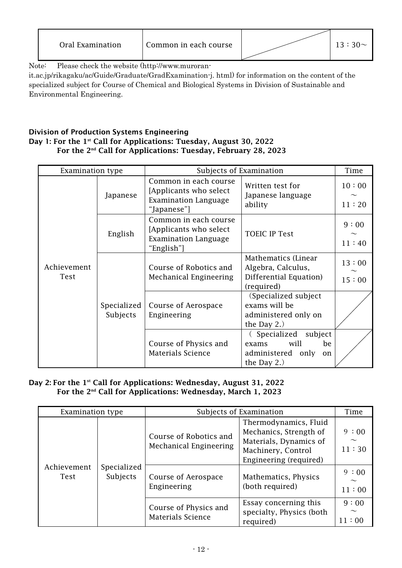| Oral Examination | Common in each course . |  | $30\sim$ |
|------------------|-------------------------|--|----------|
|------------------|-------------------------|--|----------|

Note: Please check the website (http://www.muroran-

it.ac.jp/rikagaku/ac/Guide/Graduate/GradExamination-j. html) for information on the content of the specialized subject for Course of Chemical and Biological Systems in Division of Sustainable and Environmental Engineering.

#### Division of Production Systems Engineering Day 1: For the 1<sup>st</sup> Call for Applications: Tuesday, August 30, 2022 For the 2nd Call for Applications: Tuesday, February 28, 2023

| Examination type    |                         | Subjects of Examination                                                                        |                                                                                                         | Time           |
|---------------------|-------------------------|------------------------------------------------------------------------------------------------|---------------------------------------------------------------------------------------------------------|----------------|
|                     | Japanese                | Common in each course<br>[Applicants who select]<br><b>Examination Language</b><br>"Japanese"] | Written test for<br>Japanese language<br>ability                                                        | 10:00<br>11:20 |
|                     | English                 | Common in each course<br>[Applicants who select<br><b>Examination Language</b><br>"English"]   | <b>TOEIC IP Test</b>                                                                                    | 9:00<br>11:40  |
| Achievement<br>Test |                         | Course of Robotics and<br>Mechanical Engineering                                               | Mathematics (Linear<br>Algebra, Calculus,<br>Differential Equation)<br>(required)                       | 13:00<br>15:00 |
|                     | Specialized<br>Subjects | Course of Aerospace<br>Engineering                                                             | (Specialized subject<br>exams will be<br>administered only on<br>the Day $2.$ )                         |                |
|                     |                         | Course of Physics and<br><b>Materials Science</b>                                              | ( Specialized<br>subject<br>will<br>be<br>exams<br>administered only<br><sub>on</sub><br>the Day $2.$ ) |                |

#### Day 2: For the 1<sup>st</sup> Call for Applications: Wednesday, August 31, 2022 For the 2nd Call for Applications: Wednesday, March 1, 2023

| Examination type           |                         | Subjects of Examination                           |                                                                                                                           | Time                              |
|----------------------------|-------------------------|---------------------------------------------------|---------------------------------------------------------------------------------------------------------------------------|-----------------------------------|
| Achievement<br><b>Test</b> | Specialized<br>Subjects | Course of Robotics and<br>Mechanical Engineering  | Thermodynamics, Fluid<br>Mechanics, Strength of<br>Materials, Dynamics of<br>Machinery, Control<br>Engineering (required) | 9:00<br>$\sim$<br>11:30           |
|                            |                         | Course of Aerospace<br>Engineering                | Mathematics, Physics<br>(both required)                                                                                   | 9:00<br>$\sim$<br>11:00           |
|                            |                         | Course of Physics and<br><b>Materials Science</b> | Essay concerning this<br>specialty, Physics (both<br>required)                                                            | 9:00<br>$\sim$<br>$\therefore 00$ |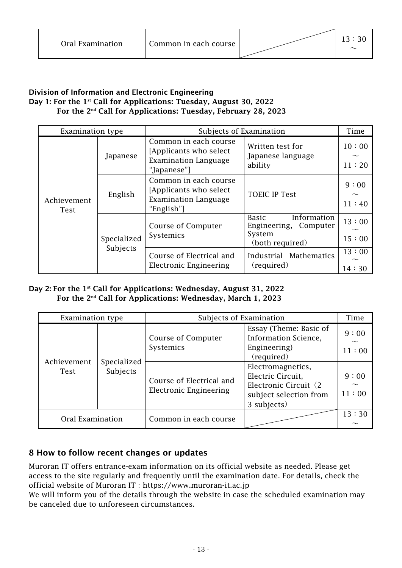#### Division of Information and Electronic Engineering Day 1: For the  $1^{st}$  Call for Applications: Tuesday, August 30, 2022 For the 2nd Call for Applications: Tuesday, February 28, 2023

| <b>Examination type</b> |             | Subjects of Examination                                                                        |                                                                                      | Time                     |
|-------------------------|-------------|------------------------------------------------------------------------------------------------|--------------------------------------------------------------------------------------|--------------------------|
| Achievement<br>Test     | Japanese    | Common in each course<br>[Applicants who select]<br><b>Examination Language</b><br>"Japanese"] | Written test for<br>Japanese language<br>ability                                     | 10:00<br>$\sim$<br>11:20 |
|                         | English     | Common in each course<br>[Applicants who select]<br><b>Examination Language</b><br>"English"]  | <b>TOEIC IP Test</b>                                                                 | 9:00<br>11:40            |
|                         | Specialized | Course of Computer<br>Systemics                                                                | Information<br><b>Basic</b><br>Engineering,<br>Computer<br>System<br>(both required) | 13:00<br>15:00           |
|                         | Subjects    | Course of Electrical and<br>Electronic Engineering                                             | Mathematics<br>Industrial<br>(required)                                              | 13:00<br>14:30           |

### Day 2: For the 1<sup>st</sup> Call for Applications: Wednesday, August 31, 2022 For the 2nd Call for Applications: Wednesday, March 1, 2023

| Examination type    |                         | Subjects of Examination                                   |                                                                                                           | Time                                       |
|---------------------|-------------------------|-----------------------------------------------------------|-----------------------------------------------------------------------------------------------------------|--------------------------------------------|
| Achievement<br>Test | Specialized<br>Subjects | Course of Computer<br>Systemics                           | Essay (Theme: Basic of<br>Information Science,<br>Engineering)<br>(required)                              | 9:00<br>$\widetilde{\phantom{m}}$<br>11:00 |
|                     |                         | Course of Electrical and<br><b>Electronic Engineering</b> | Electromagnetics,<br>Electric Circuit,<br>Electronic Circuit (2)<br>subject selection from<br>3 subjects) | 9:00<br>$\sim$<br>11:00                    |
| Oral Examination    |                         | Common in each course                                     |                                                                                                           | 13:30                                      |

# 8 How to follow recent changes or updates

Muroran IT offers entrance-exam information on its official website as needed. Please get access to the site regularly and frequently until the examination date. For details, check the official website of Muroran IT: https://www.muroran-it.ac.jp

We will inform you of the details through the website in case the scheduled examination may be canceled due to unforeseen circumstances.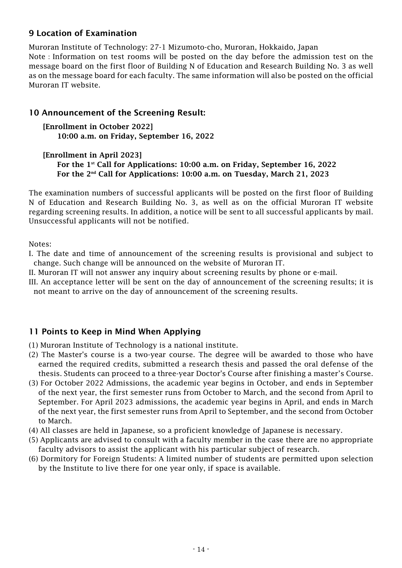# 9 Location of Examination

Muroran Institute of Technology: 27-1 Mizumoto-cho, Muroran, Hokkaido, Japan Note:Information on test rooms will be posted on the day before the admission test on the message board on the first floor of Building N of Education and Research Building No. 3 as well as on the message board for each faculty. The same information will also be posted on the official Muroran IT website.

## 10 Announcement of the Screening Result:

[Enrollment in October 2022] 10:00 a.m. on Friday, September 16, 2022

[Enrollment in April 2023] For the 1<sup>st</sup> Call for Applications: 10:00 a.m. on Friday, September 16, 2022 For the 2nd Call for Applications: 10:00 a.m. on Tuesday, March 21, 2023

The examination numbers of successful applicants will be posted on the first floor of Building N of Education and Research Building No. 3, as well as on the official Muroran IT website regarding screening results. In addition, a notice will be sent to all successful applicants by mail. Unsuccessful applicants will not be notified.

Notes:

- I. The date and time of announcement of the screening results is provisional and subject to change. Such change will be announced on the website of Muroran IT.
- II. Muroran IT will not answer any inquiry about screening results by phone or e-mail.
- III. An acceptance letter will be sent on the day of announcement of the screening results; it is not meant to arrive on the day of announcement of the screening results.

## 11 Points to Keep in Mind When Applying

- (1) Muroran Institute of Technology is a national institute.
- (2) The Master's course is a two-year course. The degree will be awarded to those who have earned the required credits, submitted a research thesis and passed the oral defense of the thesis. Students can proceed to a three-year Doctor's Course after finishing a master's Course.
- (3) For October 2022 Admissions, the academic year begins in October, and ends in September of the next year, the first semester runs from October to March, and the second from April to September. For April 2023 admissions, the academic year begins in April, and ends in March of the next year, the first semester runs from April to September, and the second from October to March.
- (4) All classes are held in Japanese, so a proficient knowledge of Japanese is necessary.
- (5) Applicants are advised to consult with a faculty member in the case there are no appropriate faculty advisors to assist the applicant with his particular subject of research.
- (6) Dormitory for Foreign Students: A limited number of students are permitted upon selection by the Institute to live there for one year only, if space is available.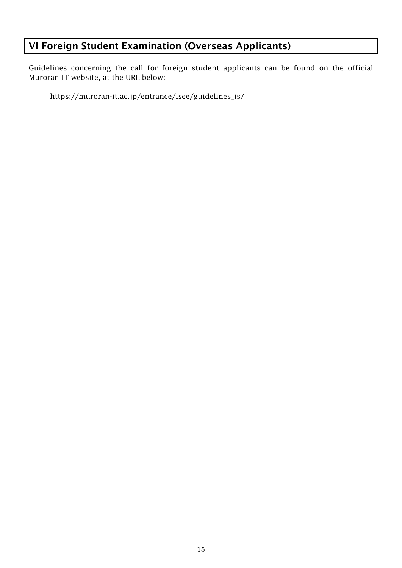# VI Foreign Student Examination (Overseas Applicants)

Guidelines concerning the call for foreign student applicants can be found on the official Muroran IT website, at the URL below:

https://muroran-it.ac.jp/entrance/isee/guidelines\_is/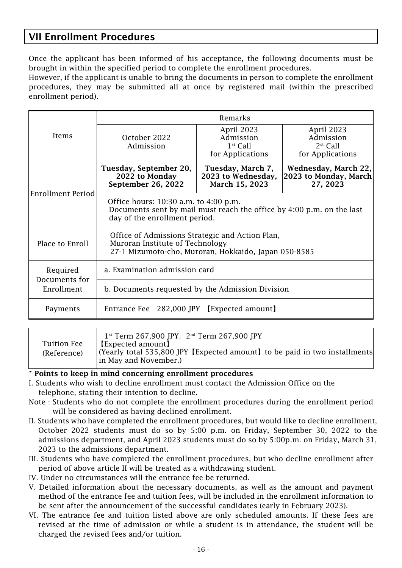# VII Enrollment Procedures

Once the applicant has been informed of his acceptance, the following documents must be brought in within the specified period to complete the enrollment procedures.

However, if the applicant is unable to bring the documents in person to complete the enrollment procedures, they may be submitted all at once by registered mail (within the prescribed enrollment period).

|                             | Remarks                                                                                                                                         |                                                           |                                                           |  |
|-----------------------------|-------------------------------------------------------------------------------------------------------------------------------------------------|-----------------------------------------------------------|-----------------------------------------------------------|--|
| Items                       | October 2022<br>Admission                                                                                                                       | April 2023<br>Admission<br>$1st$ Call<br>for Applications | April 2023<br>Admission<br>$2st$ Call<br>for Applications |  |
|                             | Tuesday, September 20,<br>2022 to Monday<br>September 26, 2022                                                                                  | Tuesday, March 7,<br>2023 to Wednesday,<br>March 15, 2023 | Wednesday, March 22,<br>2023 to Monday, March<br>27, 2023 |  |
| <b>Enrollment Period</b>    | Office hours: 10:30 a.m. to 4:00 p.m.<br>Documents sent by mail must reach the office by 4:00 p.m. on the last<br>day of the enrollment period. |                                                           |                                                           |  |
| Place to Enroll             | Office of Admissions Strategic and Action Plan,<br>Muroran Institute of Technology<br>27-1 Mizumoto-cho, Muroran, Hokkaido, Japan 050-8585      |                                                           |                                                           |  |
| Required                    | a. Examination admission card                                                                                                                   |                                                           |                                                           |  |
| Documents for<br>Enrollment | b. Documents requested by the Admission Division                                                                                                |                                                           |                                                           |  |
| Payments                    | Entrance Fee 282,000 JPY [Expected amount]                                                                                                      |                                                           |                                                           |  |

#### \* Points to keep in mind concerning enrollment procedures

- I. Students who wish to decline enrollment must contact the Admission Office on the telephone, stating their intention to decline.
- Note:Students who do not complete the enrollment procedures during the enrollment period will be considered as having declined enrollment.
- II. Students who have completed the enrollment procedures, but would like to decline enrollment, October 2022 students must do so by 5:00 p.m. on Friday, September 30, 2022 to the admissions department, and April 2023 students must do so by 5:00p.m. on Friday, March 31, 2023 to the admissions department.
- III. Students who have completed the enrollment procedures, but who decline enrollment after period of above article II will be treated as a withdrawing student.
- IV. Under no circumstances will the entrance fee be returned.
- V. Detailed information about the necessary documents, as well as the amount and payment method of the entrance fee and tuition fees, will be included in the enrollment information to be sent after the announcement of the successful candidates (early in February 2023).
- VI. The entrance fee and tuition listed above are only scheduled amounts. If these fees are revised at the time of admission or while a student is in attendance, the student will be charged the revised fees and/or tuition.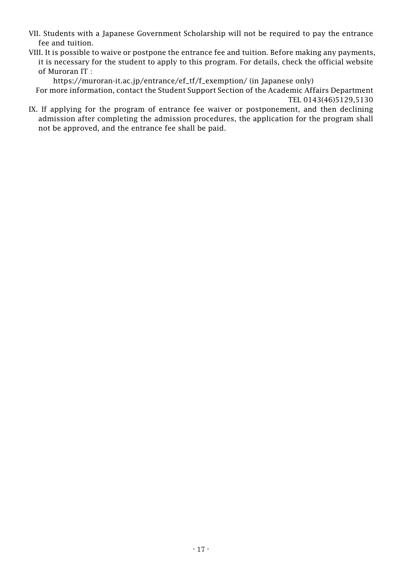- VII. Students with a Japanese Government Scholarship will not be required to pay the entrance fee and tuition.
- VIII. It is possible to waive or postpone the entrance fee and tuition. Before making any payments, it is necessary for the student to apply to this program. For details, check the official website of Muroran IT:

https://muroran-it.ac.jp/entrance/ef\_tf/f\_exemption/ (in Japanese only)

For more information, contact the Student Support Section of the Academic Affairs Department TEL 0143(46)5129,5130

IX. If applying for the program of entrance fee waiver or postponement, and then declining admission after completing the admission procedures, the application for the program shall not be approved, and the entrance fee shall be paid.